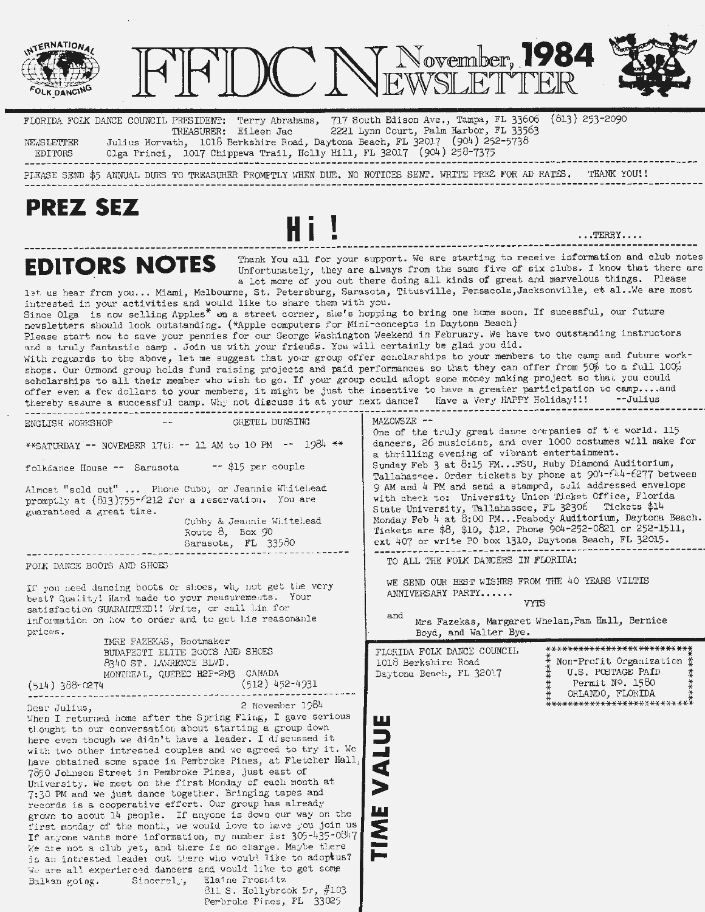

first monday of the month, we would love to have you join us. If anyone wants more information, my number is: 305-435-0847 We are not a club yet, and there is no charge. Maybe there is an intrested leader out there who would like to adoptus? We are all experierced dancers and would like to get some Balkan going. Sincerel<sub> $j$ </sub>, Elaine Frosnitz 811 S. Hollybrook Dr, #103

Perbroke Pines, FL 33025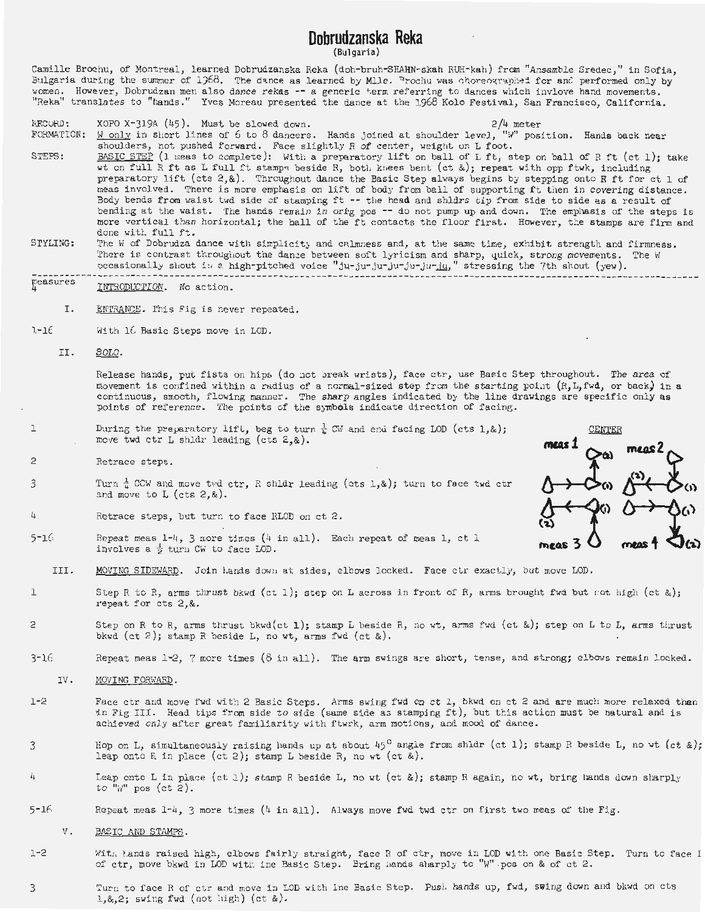# **Dobrudzanska Reka**

(Bul garia)

Camille Brochu, of Montreal, learned Dobrudzanska Reka (doh-bruh-SHAHN-skah RUH-kah) from "Ansamble Sredec," in Sofia, Bulgaria during the summer of 1968. The dance as learned by Mlle. "rochu was choreographed for and performed only by women. However, Dobrudzan men also dance rekas -- a generic term referring to dances which invlove hand movements.<br>"Reka" translates to "hands." Yves Moreau presented the dance at the 1968 Kolo Festival, San Francisco, Cal

- RECOHD: FORMATION: STEPS:  $XOPO X-319A (45)$ . Must be slowed down.  $2/4$  meter W only in short lines of 6 to 8 dancers. Hands joined at shoulder level, "W" position. Hands back near shoulders, not pushed forward. Face slightly R of center, weight on L foot. BASIC STEP (1 meas to complete): With a preparatory lift on ball of L ft, step on ball of R ft (ct 1); take wt on full R ft as L full ft stampe; beside R, botli knees bent (ct&); repeat with opp ftwk, i ncluding preparatory lift (cts 2,&). Throughout dance the Basic Step always begins by stepping onto R ft for ct 1 of meas involved. There is more emphasis on lift of body from ball of supporting ft then in covering distance . Body bends from waist twd side of stamping ft -- the head and shldrs tip from side to side as a result of bending at the waist. The hands remain in orig pos -- do not pump up and down. The emphasis of the steps is more vertical than horizontal; the ball of the ft contacts the floor first. However, the stamps are firm and done with full ft.
- SrYLING: The W of Dobrudza dance with simplicity and calmness and, at the same time, exhibit strength and firmness. There is contrast throughout the dance between soft lyricism and sharp, quick, strong movements. The W occasionally shout in a high-pitched voice "ju-ju-ju-ju-ju-ju-ju-ju-in," stressing the 7th shout (yew).
- ~easures INTRODUCTION. No action.
	- I. ENTRANCE. This Fig is never repeated.
- $1 16$ With  $16$  Basic Steps move in LOD.
	- II. SOLO.

Release hands, put fists on hips (do not break wrists), face ctr, use Basic Step throughout. The area of movement is confined within a radius of a normal-sized step from the starting point  $(R, L, fwd,$  or back) in a <sup>c</sup> ontinuous, smooth, flowing manner. The sharp angles indicated by the line drawings are specific only **as** points of reference . The points of the symbols indicate direction of facine.

meas 2

- 1 During the preparatory lift, beg to turn  $\frac{1}{k}$  CW and end facing LOD (cts 1,&); move twd ctr L shldr leading (cts  $2,8$ ).
- $\circ$ Retrace steps.
- 3 Turn  $\frac{1}{n}$  CCW and move twd ctr, R shldr leading (cts 1,&); turn to face twd ctr and move to L (cts 2,&).
- $\dot{\iota}_{\downarrow}$ Retrace steps, but turn to face RLOD on ct 2.
- 5-16 Repeat meas  $1-4$ , 3 more times  $(4 \text{ in all}).$  Each repeat of meas 1, ct 1 involves a  $\frac{1}{2}$  turn CW to face LOD.
	- III. MOVING SIDEWARD. Join Lands down at sides, elbows locked. Face ctr exactly, but move LOD.
- 1 Step R to R, arms thrust bkwd (ct 1); step on L across in front of R, arms brought fwd but not high (ct &); repeat for cts 2, &.
- 2 Step on R to R, arms thrust bkwd(ct **1 );** stamp L beside R, no wt, arms fwd (ct&); step on L to L, arms thrust bkwd (ct 2); stamp R beside L, no wt, arms fwd (ct &).
- 3-16 Repeat meas  $1-2$ , 7 more times  $(8 \text{ in all})$ . The arm swings are short, tense, and strong; elbows remain locked.
	- IV. MOVING FORWARD .
- 1-2 Face ctr and move fwd with 2 Basic Steps. Arms swing fwd on ct 1, bkwd on ct 2 and are much more relaxed than in Fig III. Head tips from side to side (same side as stamping ft), but this action must be natural and is achieved only after great familiarity with ftwrk, arm motions, and mood of dance.
- 3 Hop on L, simultaneously raising hands up at about  $45^{\circ}$  angle from shldr (ct 1); stamp R beside L, no wt (ct &); leap onto R in place  $(ct 2)$ ; stamp L beside R, no wt  $(ct  &).$
- 4 Leap onto Lin place (ct l); stamp R beside L, no wt (ct&); stamp Ragain, no wt, bring hands down sharply to  $"\mathbb{W}"$  pos (ct 2).
- $5-16$ ... Repeat meas  $1-4$ , 3 more times (4 in all). Always move fwd twd ctr on first two meas of the Fig.
	- V. BASIC AND STAMPS.
- $1 2$ With hands raised high, elbows fairly straight, face R of ctr, move in LOD with one Basic Step. Turn to face I of ctr, move bkwd in LOD with ine Basic Step. Bring hands sharply to "W" pos on & of ct 2.
- 3 Turn to face R of ctr and move in LOD with ine Basic Step. Push hands up, fwd, swing down and bkwd on cts  $1, 2;$  swing fwd (not high) (ct &).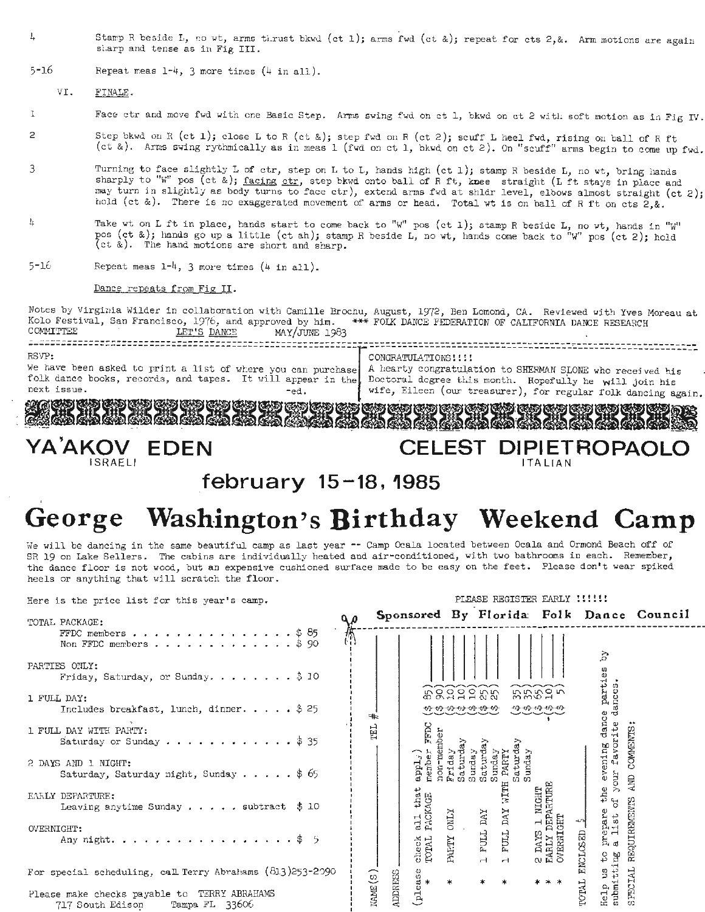- 4 Stamp R beside L, no wt, arms thrust bkwd (ct 1); arms fwd (ct &); repeat for cts 2,&. Arm motions are again slarp and tense as in Fig III.
- $5 16$ Repeat meas  $1-4$ , 3 more times  $(4$  in all).

VI. FINALE.

- 1 Face ctr and move fwd with one Basic Step. Arms swing fwd on ct 1, bkwd on ct 2 with soft motion as in Fig IV.
- 2 Step bkwd on R (ct 1); close L to R (ct &); step fwd on R (ct 2); scuff L heel fwd, rising on ball of R ft  $(ct<sup>2</sup>)$ . Arms swing rythmically as in meas 1 (fwd on ct 1, bkwd on ct 2). On "scuff" arms begin to come up fwd.
- 3 Turning to face slightly L of ctr, step on L to L, hands high (ct 1); stamp R beside L, no wt, bring hands sharply to "W" pos (ct &); facing ctr, step bkwd onto ball of R ft, knee straight (L ft stays in place and may turn in slightly as body turns to face ctr), extend arms fwd at shldr level, elbows almost straight (ct 2); hold (ct &). There is no exaggerated movement of arms or head. Total wt is on ball of R ft on cts 2,&.
- $\mathbf{h}$ Take wt on L ft in place, hands start to come back to "W" pos (ct 1); stamp R beside L, no wt, hands in "W" pos (ct 2); hold  $\log$  (ct  $\frac{1}{2}$ ; hold (ct  $\&$ ). The hand motions are short and sharp.
- $5 16$ Repeat meas  $1-4$ , 3 more times  $(4$  in all).

#### Dance repeats from Fig II.

Notes by Virginia Wilder in collaboration with Camille Brochu, August, 1972, Ben Lomond, CA. Reviewed with Yves Moreau at Kolo Festival, San Francisco, 1976, and approved by him. \*\*\* FOLK DANCE FEDERATION OF CALIFORNIA DANCE RESEARCH<br>COMMITTEE <u>LET'S DANCE</u> MAY/JUNE 1983<br>RESEARCH MAY/JUNE 1983<br>RSVP: **for a maximum in the CONGRATULATIONS : : !** RSVP:<br>We have been asked to print a list of where you can purchase A hearty congratulation to SHERMAN SLONE who received his<br>folk dance books, records, and tapes. It will appear in the, Doctoral dogree this month. Hopefull folk dance books, records, and tapes. It will appear in the Doctoral degree this month. Hopefully he will join his next issue. -ed. | wife, Eileen (our treasurer), for regular folk dancing again.

BBB8B BBBB8B BBBB i,BBBBRBll

## **VA'AKOV EDEN CELEST DIPIETROPAO** ISRAELI I TALIAN I TALIAN I TALIAN I TALIAN I TALIAN I TALIAN I TALIAN I TALIAN I TALIAN I TALIAN I TALIAN I T

## **f ebrua ry 15-18, 1985**

### **George Washington's Birthday Weekend Camp**

We will be dancing in the same beautiful camp as last year -- Camp Ocala located between Ocala and Ormond Beach off of SR 19 on Lake Sellers. The cabins are individually heated and air-conditioned, with two bathrooms in each. Remember, the dance floor is not wood, but an expensive cushioned surface made to be easy on the feet. Please don't wear spiked heels or anything that will scratch the floor.

Here is the price list for this year's camp.

## PLEASE REGISTER EARLY !!!!!!

| TOTAL PACKAGE:                                                                        | مه |                          |                                          |                             |                        |                                            |                                       |                                       | Sponsored By Florida: Folk Dance Council |
|---------------------------------------------------------------------------------------|----|--------------------------|------------------------------------------|-----------------------------|------------------------|--------------------------------------------|---------------------------------------|---------------------------------------|------------------------------------------|
| FFDC members $\uparrow$ 85<br>Non FFDC members $\frac{1}{3}$ 90                       |    |                          |                                          |                             |                        |                                            |                                       | ζđ                                    |                                          |
| PARTIES ONLY:<br>Friday, Saturday, or Sunday. $\ldots$ , $\ldots$ , $\updownarrow$ 10 |    |                          |                                          |                             |                        |                                            |                                       | es                                    |                                          |
| 1 FULL DAY:                                                                           |    |                          |                                          | <b>BRAAAAH</b>              |                        |                                            | 555975                                | partic<br>ances                       |                                          |
| Includes breakfast, lunch, dinner \$25                                                |    | ∗⊧                       |                                          |                             |                        |                                            |                                       | ದ                                     |                                          |
| 1. FULL DAY WITH PARTY:<br>Saturday or Sunday $\ldots$ ,  \$35                        |    | 딥                        | <b>FFDC</b>                              |                             |                        |                                            |                                       | dance<br>evening dano<br>our favorite | <b>COMMENTS</b>                          |
| 2 DAYS AND 1 NIGHT:<br>Saturday, Saturday night, Sunday \$ 65                         |    |                          | non-men<br>member<br>$\mathtt{appL}_J$ ) | Saturda<br>Friday<br>Sunday | Saturda<br>unday<br>tΩ | PARTY<br>Saturd<br>cΩ                      |                                       | <b>znok</b>                           | 自<br>[1]                                 |
| EARLY DEPARTURE:<br>Leaving anytime Sunday $\ldots$ $\ldots$ subtract \$ 10           |    |                          | all that<br>PACKACE                      | <b>ZTNO</b>                 | DAY                    | HLIM<br>$\mathop{\rm {\bf DA}}\nolimits Y$ | <b>3 1 NIGHT</b><br>DEPARTURE         | the<br>$\mathbb{R}^2$<br>⊸∿พ          |                                          |
| OVERNIGHT:<br>Any night. \$ $5$                                                       |    |                          | check<br>TOTAL                           | PARTY                       | FULL<br>$\overline{a}$ | <b>FULL</b><br>$\overline{ }$              | 2 DAYS 1 M<br>EARLY DEPA<br>OVERNIGHT | prepare<br>a list<br>ENCLOSED<br>₿    | REQUIREMENTS                             |
| For special scheduling, call Terry Abrahams (813)253-2090                             |    |                          | $rac{6}{\pi}$                            | $\ast$                      |                        | $\ast$                                     | * * *                                 | submitting<br>9                       | 님                                        |
| Please make checks payable to TERRY ABRAHAMS<br>Tampa FL 33606<br>717 South Edison    |    | MME(S)<br><b>ADDRESS</b> | है                                       |                             |                        |                                            |                                       | TOTAL<br>Help                         | SPECIA                                   |